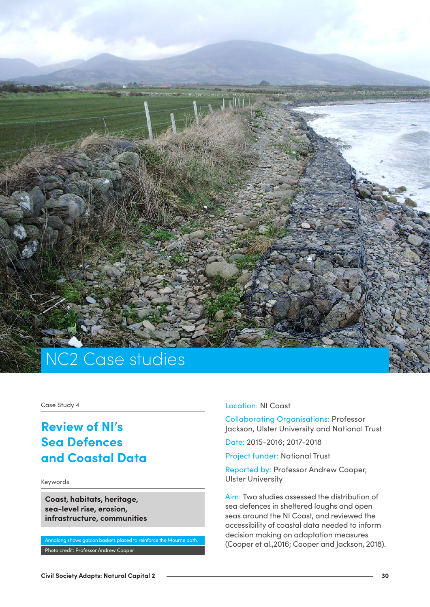

Case Study 4

# **Review of NI's Sea Defences and Coastal Data**

Keywords

**Coast, habitats, heritage, sea-level rise, erosion, infrastructure, communities**

Annalong shows gabion baskets placed to reinforce the Mourne path. Photo credit: Professor Andrew Cooper

Location: NI Coast

Collaborating Organisations: Professor Jackson, Ulster University and National Trust

Date: 2015-2016; 2017-2018

Project funder: National Trust

Reported by: Professor Andrew Cooper, Ulster University

Aim: Two studies assessed the distribution of sea defences in sheltered loughs and open seas around the NI Coast, and reviewed the accessibility of coastal data needed to inform decision making on adaptation measures (Cooper et al.,2016; Cooper and Jackson, 2018).